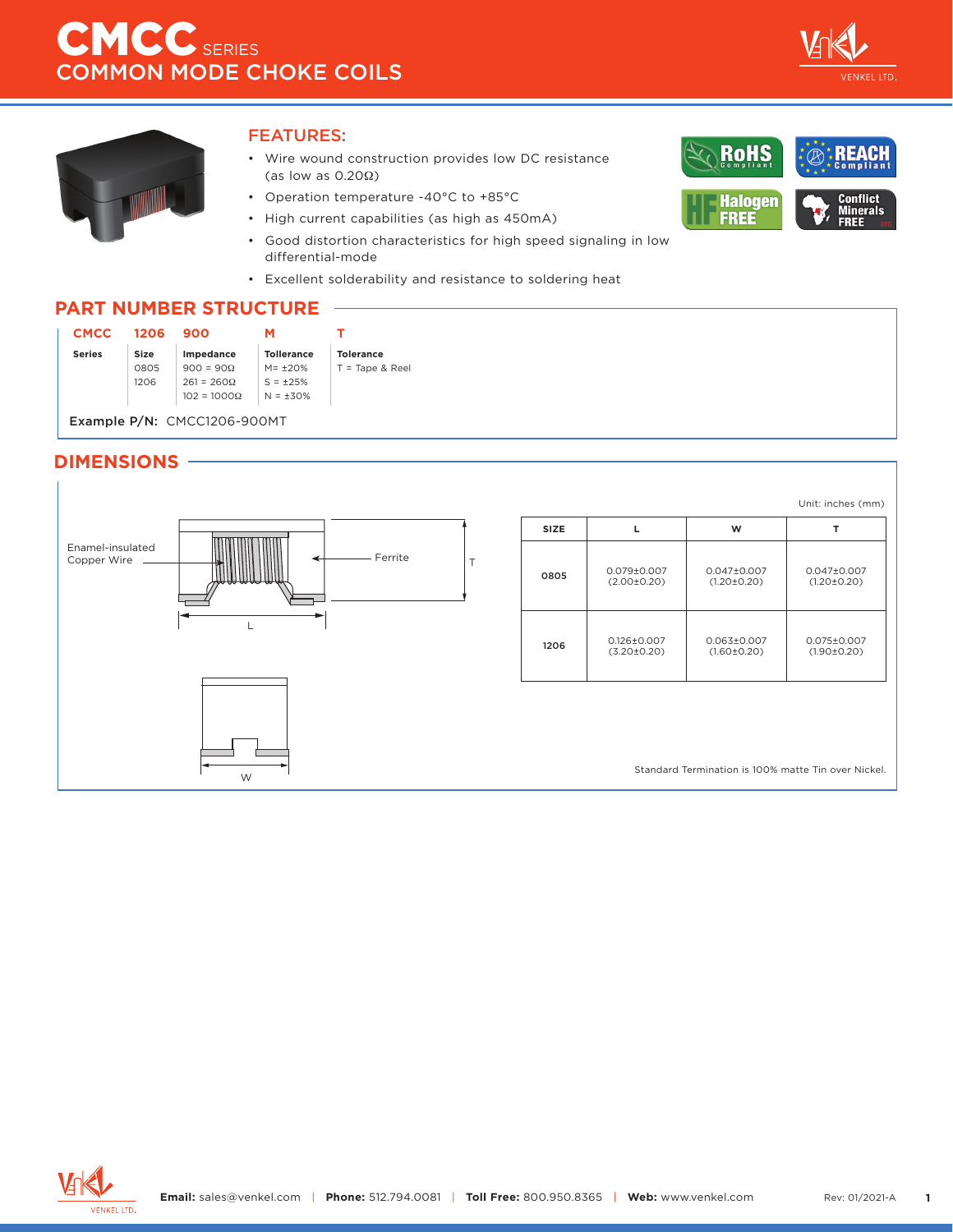

**Conflict** 

**Minerals**<br>FREE

RoHS

**Halogen** 

**FREE** 



### FEATURES:

- Wire wound construction provides low DC resistance (as low as 0.20Ω)
- Operation temperature -40°C to +85°C
- High current capabilities (as high as 450mA)
- Good distortion characteristics for high speed signaling in low differential-mode
- Excellent solderability and resistance to soldering heat

## **PART NUMBER STRUCTURE**

| <b>CMCC</b>                 | 1206 | 900                |                   |                   |  |
|-----------------------------|------|--------------------|-------------------|-------------------|--|
| <b>Series</b>               | Size | Impedance          | <b>Tollerance</b> | <b>Tolerance</b>  |  |
|                             | 0805 | $900 = 90\Omega$   | $M = +20%$        | $T =$ Tape & Reel |  |
|                             | 1206 | $261 = 260\Omega$  | $S = +25%$        |                   |  |
|                             |      | $102 = 1000\Omega$ | $N = +30%$        |                   |  |
|                             |      |                    |                   |                   |  |
| Example P/N: CMCC1206-900MT |      |                    |                   |                   |  |

## **DIMENSIONS**



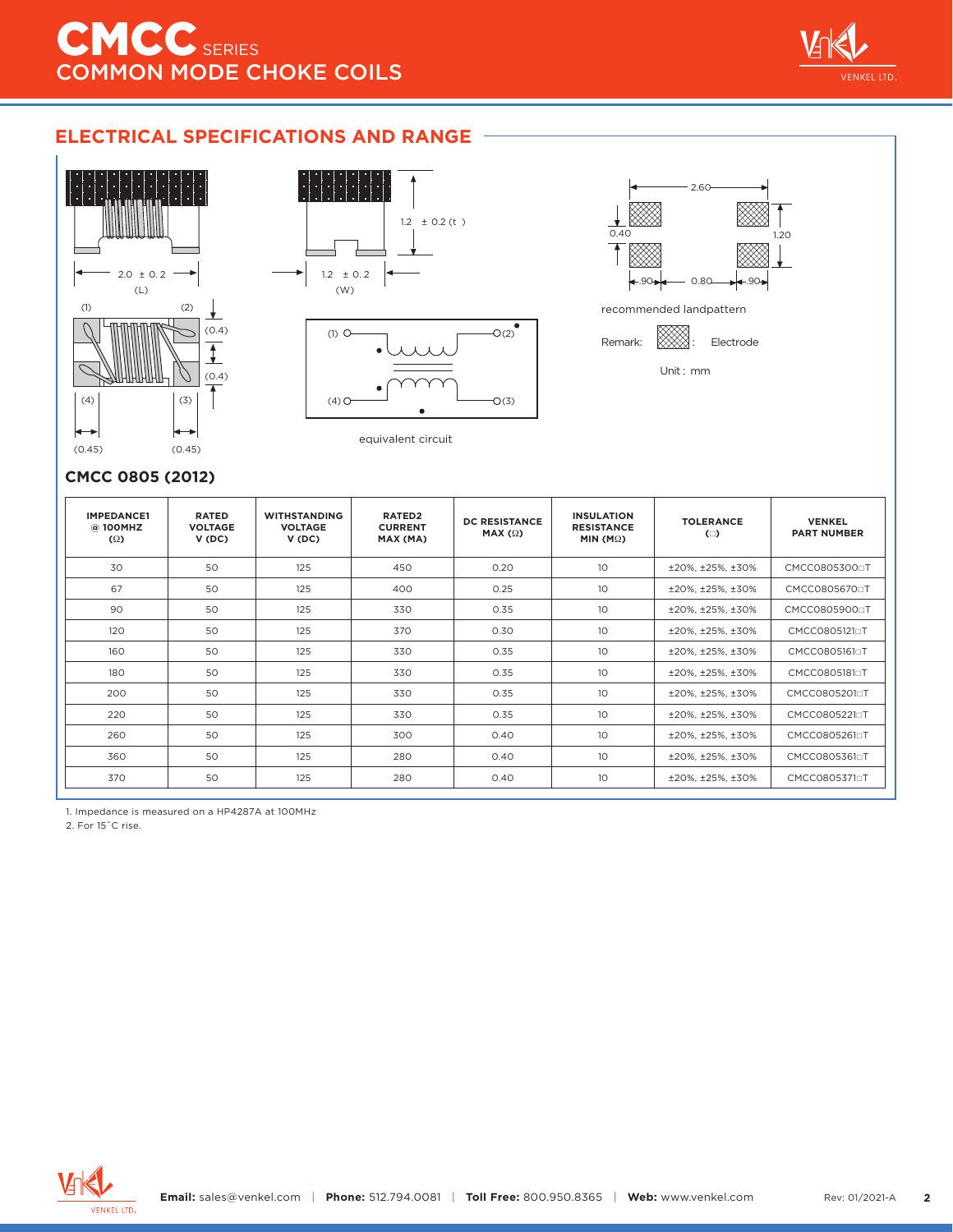

## **ELECTRICAL SPECIFICATIONS AND RANGE**







equivalent circuit

## **CMCC 0805 (2012)**

| <b>IMPEDANCE1</b><br>@ 100MHZ<br>$\Omega$ | <b>RATED</b><br><b>VOLTAGE</b><br>V(DC) | <b>WITHSTANDING</b><br><b>VOLTAGE</b><br>V(DC) | RATED <sub>2</sub><br><b>CURRENT</b><br>MAX (MA) | <b>DC RESISTANCE</b><br>MAX $(\Omega)$ | <b>INSULATION</b><br><b>RESISTANCE</b><br>MIN (M $\Omega$ ) | <b>TOLERANCE</b><br>$\Box$ | <b>VENKEL</b><br><b>PART NUMBER</b> |
|-------------------------------------------|-----------------------------------------|------------------------------------------------|--------------------------------------------------|----------------------------------------|-------------------------------------------------------------|----------------------------|-------------------------------------|
| 30                                        | 50                                      | 125                                            | 450                                              | 0.20                                   | 10 <sup>°</sup>                                             | ±20%, ±25%, ±30%           | CMCC08053000T                       |
| 67                                        | 50                                      | 125                                            | 400                                              | 0.25                                   | 10 <sup>2</sup>                                             | ±20%, ±25%, ±30%           | CMCC0805670 <sub>p</sub> T          |
| 90                                        | 50                                      | 125                                            | 330                                              | 0.35                                   | 10                                                          | ±20%, ±25%, ±30%           | CMCC08059000T                       |
| 120                                       | 50                                      | 125                                            | 370                                              | 0.30                                   | 10 <sup>°</sup>                                             | ±20%, ±25%, ±30%           | CMCC0805121aT                       |
| 160                                       | 50                                      | 125                                            | 330                                              | 0.35                                   | 10                                                          | ±20%, ±25%, ±30%           | CMCC0805161aT                       |
| 180                                       | 50                                      | 125                                            | 330                                              | 0.35                                   | 10 <sup>°</sup>                                             | ±20%, ±25%, ±30%           | CMCC0805181aT                       |
| 200                                       | 50                                      | 125                                            | 330                                              | 0.35                                   | 10 <sup>°</sup>                                             | ±20%, ±25%, ±30%           | CMCC08052010T                       |
| 220                                       | 50                                      | 125                                            | 330                                              | 0.35                                   | 10                                                          | ±20%, ±25%, ±30%           | CMCC08052210T                       |
| 260                                       | 50                                      | 125                                            | 300                                              | 0.40                                   | 10 <sup>°</sup>                                             | ±20%, ±25%, ±30%           | CMCC0805261aT                       |
| 360                                       | 50                                      | 125                                            | 280                                              | 0.40                                   | 10 <sup>°</sup>                                             | ±20%, ±25%, ±30%           | CMCC08053610T                       |
| 370                                       | 50                                      | 125                                            | 280                                              | 0.40                                   | 10 <sup>°</sup>                                             | ±20%, ±25%, ±30%           | CMCC08053710T                       |

1. Impedance is measured on a HP4287A at 100MHz

2. For 15˚C rise.

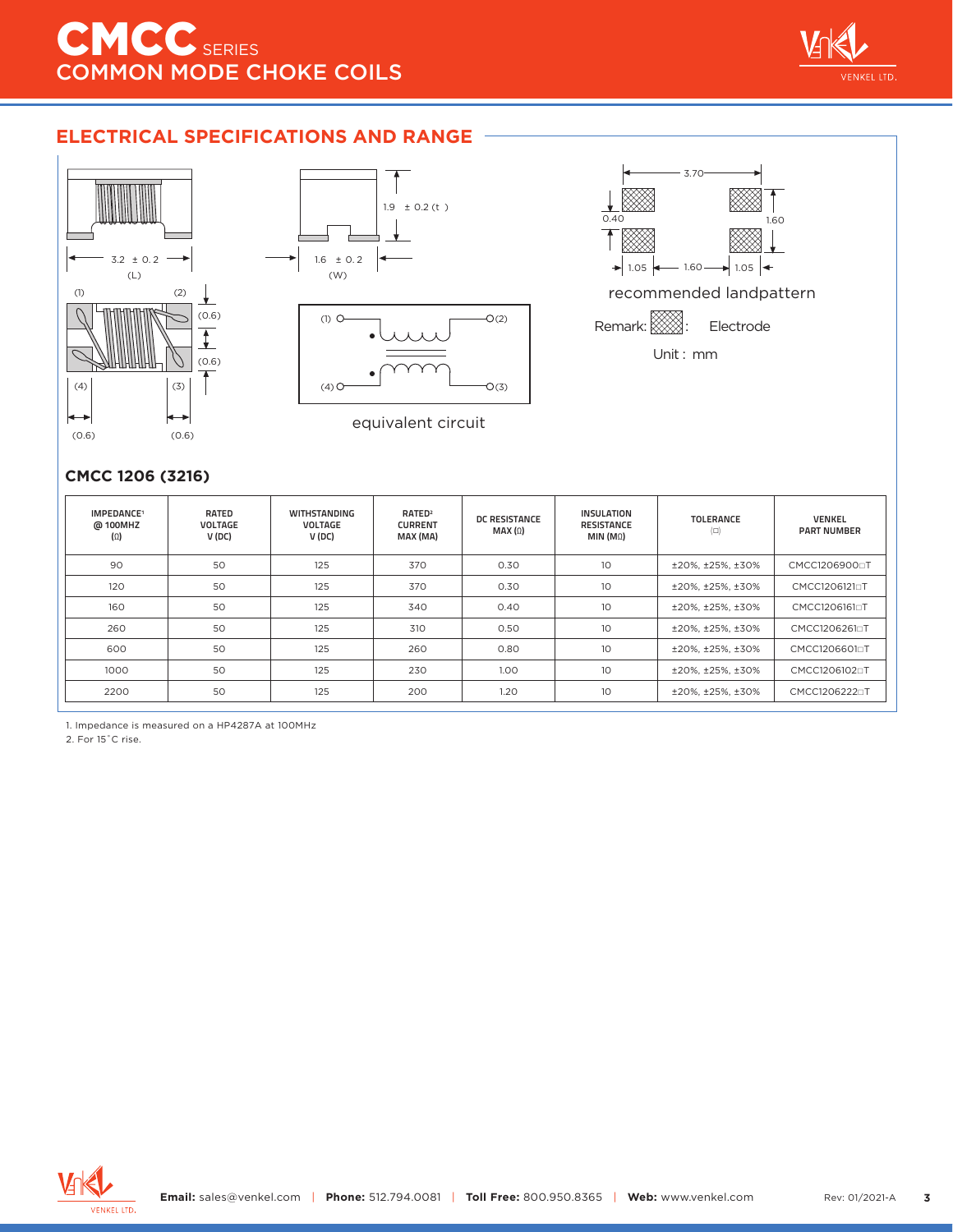# **ELECTRICAL SPECIFICATIONS AND RANGE**









### **CMCC 1206 (3216)**

| IMPEDANCE <sup>1</sup><br>@ 100MHZ<br>$(\Omega)$ | <b>RATED</b><br><b>VOLTAGE</b><br>V (DC) | <b>WITHSTANDING</b><br><b>VOLTAGE</b><br>V (DC) | RATED <sup>2</sup><br><b>CURRENT</b><br>MAX (MA) | <b>DC RESISTANCE</b><br>MAX(0) | <b>INSULATION</b><br><b>RESISTANCE</b><br>MIN (M <sub>Ω</sub> ) | <b>TOLERANCE</b><br>$(\Box)$ | <b>VENKEL</b><br><b>PART NUMBER</b> |
|--------------------------------------------------|------------------------------------------|-------------------------------------------------|--------------------------------------------------|--------------------------------|-----------------------------------------------------------------|------------------------------|-------------------------------------|
| 90                                               | 50                                       | 125                                             | 370                                              | 0.30                           | 10                                                              | ±20%, ±25%, ±30%             | CMCC12069000T                       |
| 120                                              | 50                                       | 125                                             | 370                                              | 0.30                           | 10                                                              | ±20%, ±25%, ±30%             | CMCC1206121□T                       |
| 160                                              | 50                                       | 125                                             | 340                                              | 0.40                           | 10                                                              | ±20%, ±25%, ±30%             | CMCC1206161aT                       |
| 260                                              | 50                                       | 125                                             | 310                                              | 0.50                           | 10 <sup>°</sup>                                                 | ±20%, ±25%, ±30%             | CMCC12062610T                       |
| 600                                              | 50                                       | 125                                             | 260                                              | 0.80                           | 10 <sup>°</sup>                                                 | ±20%, ±25%, ±30%             | CMCC1206601aT                       |
| 1000                                             | 50                                       | 125                                             | 230                                              | 1.00 <sub>1</sub>              | 10 <sup>°</sup>                                                 | ±20%, ±25%, ±30%             | CMCC1206102 <sub>0</sub> T          |
| 2200                                             | 50                                       | 125                                             | 200                                              | 1.20                           | 10 <sup>°</sup>                                                 | ±20%, ±25%, ±30%             | CMCC12062220T                       |

1. Impedance is measured on a HP4287A at 100MHz

2. For 15˚C rise.

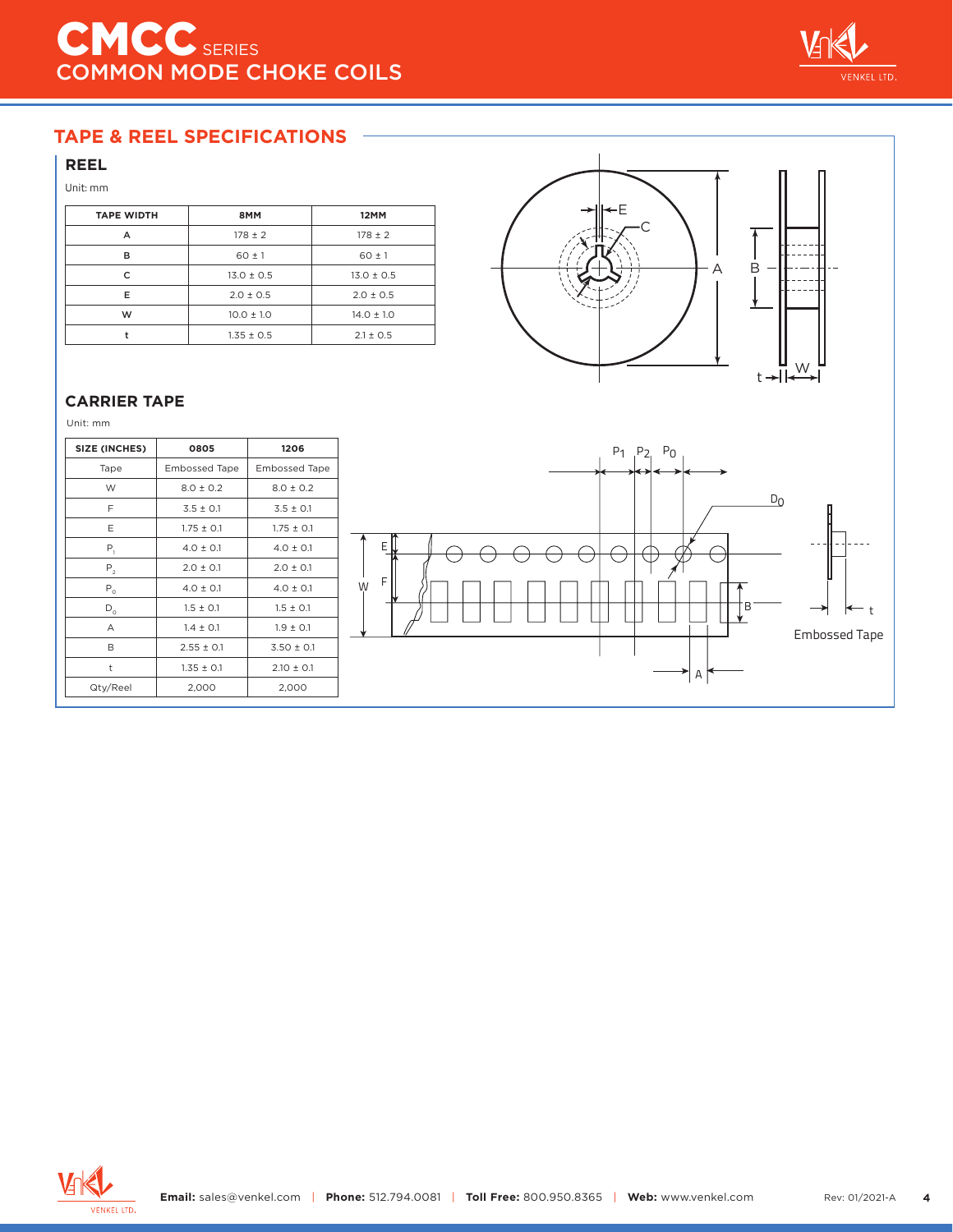

# **TAPE & REEL SPECIFICATIONS**

## **REEL**

#### Unit: mm

| <b>TAPE WIDTH</b> | 8MM            | 12MM           |  |
|-------------------|----------------|----------------|--|
| А                 | $178 \pm 2$    | $178 \pm 2$    |  |
| в                 | $60 \pm 1$     | $60 \pm 1$     |  |
| C                 | $13.0 \pm 0.5$ | $13.0 \pm 0.5$ |  |
| Е                 | $2.0 \pm 0.5$  | $2.0 \pm 0.5$  |  |
| W                 | $10.0 \pm 1.0$ | $14.0 \pm 1.0$ |  |
|                   | $1.35 \pm 0.5$ | $2.1 \pm 0.5$  |  |



### **CARRIER TAPE**

Unit: mm

| SIZE (INCHES) | 0805                 | 1206                 |
|---------------|----------------------|----------------------|
| Tape          | <b>Embossed Tape</b> | <b>Embossed Tape</b> |
| W             | $8.0 \pm 0.2$        | $8.0 \pm 0.2$        |
| F             | $3.5 \pm 0.1$        | $3.5 \pm 0.1$        |
| E             | $1.75 \pm 0.1$       | $1.75 \pm 0.1$       |
| $P_1$         | $4.0 \pm 0.1$        | $4.0 \pm 0.1$        |
| $P_{2}$       | $2.0 \pm 0.1$        | $2.0 \pm 0.1$        |
| $P_0$         | $4.0 \pm 0.1$        | $4.0 \pm 0.1$        |
| $D_0$         | $1.5 \pm 0.1$        | $1.5 \pm 0.1$        |
| Α             | $1.4 \pm 0.1$        | $1.9 \pm 0.1$        |
| B             | $2.55 \pm 0.1$       | $3.50 \pm 0.1$       |
| t             | $1.35 \pm 0.1$       | $2.10 \pm 0.1$       |
| Qty/Reel      | 2,000                | 2,000                |